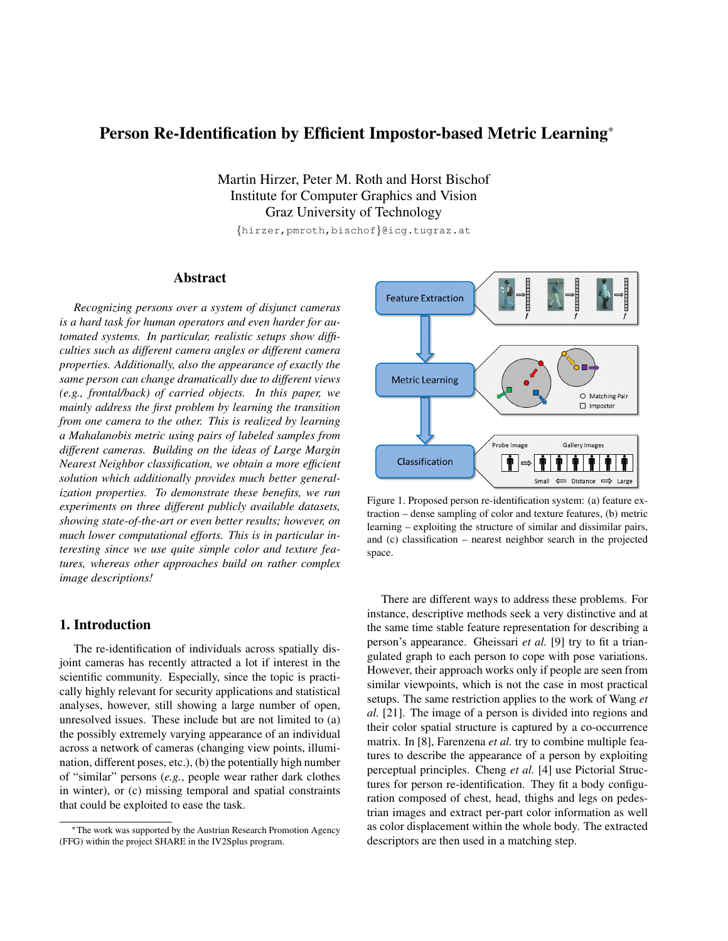# Person Re-Identification by Efficient Impostor-based Metric Learning<sup>∗</sup>

Martin Hirzer, Peter M. Roth and Horst Bischof Institute for Computer Graphics and Vision Graz University of Technology

{hirzer,pmroth,bischof}@icg.tugraz.at

# Abstract

*Recognizing persons over a system of disjunct cameras is a hard task for human operators and even harder for automated systems. In particular, realistic setups show difficulties such as different camera angles or different camera properties. Additionally, also the appearance of exactly the same person can change dramatically due to different views (e.g., frontal/back) of carried objects. In this paper, we mainly address the first problem by learning the transition from one camera to the other. This is realized by learning a Mahalanobis metric using pairs of labeled samples from different cameras. Building on the ideas of Large Margin Nearest Neighbor classification, we obtain a more efficient solution which additionally provides much better generalization properties. To demonstrate these benefits, we run experiments on three different publicly available datasets, showing state-of-the-art or even better results; however, on much lower computational efforts. This is in particular interesting since we use quite simple color and texture features, whereas other approaches build on rather complex image descriptions!*

# 1. Introduction

The re-identification of individuals across spatially disjoint cameras has recently attracted a lot if interest in the scientific community. Especially, since the topic is practically highly relevant for security applications and statistical analyses, however, still showing a large number of open, unresolved issues. These include but are not limited to (a) the possibly extremely varying appearance of an individual across a network of cameras (changing view points, illumination, different poses, etc.), (b) the potentially high number of "similar" persons (*e.g.*, people wear rather dark clothes in winter), or (c) missing temporal and spatial constraints that could be exploited to ease the task.



Figure 1. Proposed person re-identification system: (a) feature extraction – dense sampling of color and texture features, (b) metric learning – exploiting the structure of similar and dissimilar pairs, and (c) classification – nearest neighbor search in the projected space.

There are different ways to address these problems. For instance, descriptive methods seek a very distinctive and at the same time stable feature representation for describing a person's appearance. Gheissari *et al.* [9] try to fit a triangulated graph to each person to cope with pose variations. However, their approach works only if people are seen from similar viewpoints, which is not the case in most practical setups. The same restriction applies to the work of Wang *et al.* [21]. The image of a person is divided into regions and their color spatial structure is captured by a co-occurrence matrix. In [8], Farenzena *et al.* try to combine multiple features to describe the appearance of a person by exploiting perceptual principles. Cheng *et al.* [4] use Pictorial Structures for person re-identification. They fit a body configuration composed of chest, head, thighs and legs on pedestrian images and extract per-part color information as well as color displacement within the whole body. The extracted descriptors are then used in a matching step.

<sup>∗</sup>The work was supported by the Austrian Research Promotion Agency (FFG) within the project SHARE in the IV2Splus program.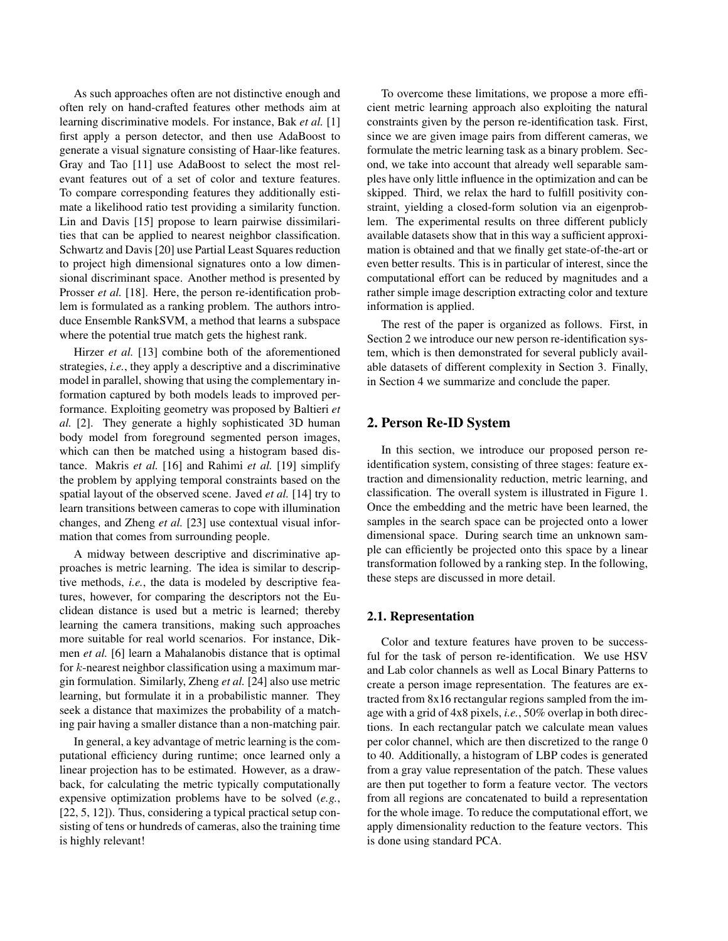As such approaches often are not distinctive enough and often rely on hand-crafted features other methods aim at learning discriminative models. For instance, Bak *et al.* [1] first apply a person detector, and then use AdaBoost to generate a visual signature consisting of Haar-like features. Gray and Tao [11] use AdaBoost to select the most relevant features out of a set of color and texture features. To compare corresponding features they additionally estimate a likelihood ratio test providing a similarity function. Lin and Davis [15] propose to learn pairwise dissimilarities that can be applied to nearest neighbor classification. Schwartz and Davis [20] use Partial Least Squares reduction to project high dimensional signatures onto a low dimensional discriminant space. Another method is presented by Prosser *et al.* [18]. Here, the person re-identification problem is formulated as a ranking problem. The authors introduce Ensemble RankSVM, a method that learns a subspace where the potential true match gets the highest rank.

Hirzer *et al.* [13] combine both of the aforementioned strategies, *i.e.*, they apply a descriptive and a discriminative model in parallel, showing that using the complementary information captured by both models leads to improved performance. Exploiting geometry was proposed by Baltieri *et al.* [2]. They generate a highly sophisticated 3D human body model from foreground segmented person images, which can then be matched using a histogram based distance. Makris *et al.* [16] and Rahimi *et al.* [19] simplify the problem by applying temporal constraints based on the spatial layout of the observed scene. Javed *et al.* [14] try to learn transitions between cameras to cope with illumination changes, and Zheng *et al.* [23] use contextual visual information that comes from surrounding people.

A midway between descriptive and discriminative approaches is metric learning. The idea is similar to descriptive methods, *i.e.*, the data is modeled by descriptive features, however, for comparing the descriptors not the Euclidean distance is used but a metric is learned; thereby learning the camera transitions, making such approaches more suitable for real world scenarios. For instance, Dikmen *et al.* [6] learn a Mahalanobis distance that is optimal for k-nearest neighbor classification using a maximum margin formulation. Similarly, Zheng *et al.* [24] also use metric learning, but formulate it in a probabilistic manner. They seek a distance that maximizes the probability of a matching pair having a smaller distance than a non-matching pair.

In general, a key advantage of metric learning is the computational efficiency during runtime; once learned only a linear projection has to be estimated. However, as a drawback, for calculating the metric typically computationally expensive optimization problems have to be solved (*e.g.*, [22, 5, 12]). Thus, considering a typical practical setup consisting of tens or hundreds of cameras, also the training time is highly relevant!

To overcome these limitations, we propose a more efficient metric learning approach also exploiting the natural constraints given by the person re-identification task. First, since we are given image pairs from different cameras, we formulate the metric learning task as a binary problem. Second, we take into account that already well separable samples have only little influence in the optimization and can be skipped. Third, we relax the hard to fulfill positivity constraint, yielding a closed-form solution via an eigenproblem. The experimental results on three different publicly available datasets show that in this way a sufficient approximation is obtained and that we finally get state-of-the-art or even better results. This is in particular of interest, since the computational effort can be reduced by magnitudes and a rather simple image description extracting color and texture information is applied.

The rest of the paper is organized as follows. First, in Section 2 we introduce our new person re-identification system, which is then demonstrated for several publicly available datasets of different complexity in Section 3. Finally, in Section 4 we summarize and conclude the paper.

# 2. Person Re-ID System

In this section, we introduce our proposed person reidentification system, consisting of three stages: feature extraction and dimensionality reduction, metric learning, and classification. The overall system is illustrated in Figure 1. Once the embedding and the metric have been learned, the samples in the search space can be projected onto a lower dimensional space. During search time an unknown sample can efficiently be projected onto this space by a linear transformation followed by a ranking step. In the following, these steps are discussed in more detail.

## 2.1. Representation

Color and texture features have proven to be successful for the task of person re-identification. We use HSV and Lab color channels as well as Local Binary Patterns to create a person image representation. The features are extracted from 8x16 rectangular regions sampled from the image with a grid of 4x8 pixels, *i.e.*, 50% overlap in both directions. In each rectangular patch we calculate mean values per color channel, which are then discretized to the range 0 to 40. Additionally, a histogram of LBP codes is generated from a gray value representation of the patch. These values are then put together to form a feature vector. The vectors from all regions are concatenated to build a representation for the whole image. To reduce the computational effort, we apply dimensionality reduction to the feature vectors. This is done using standard PCA.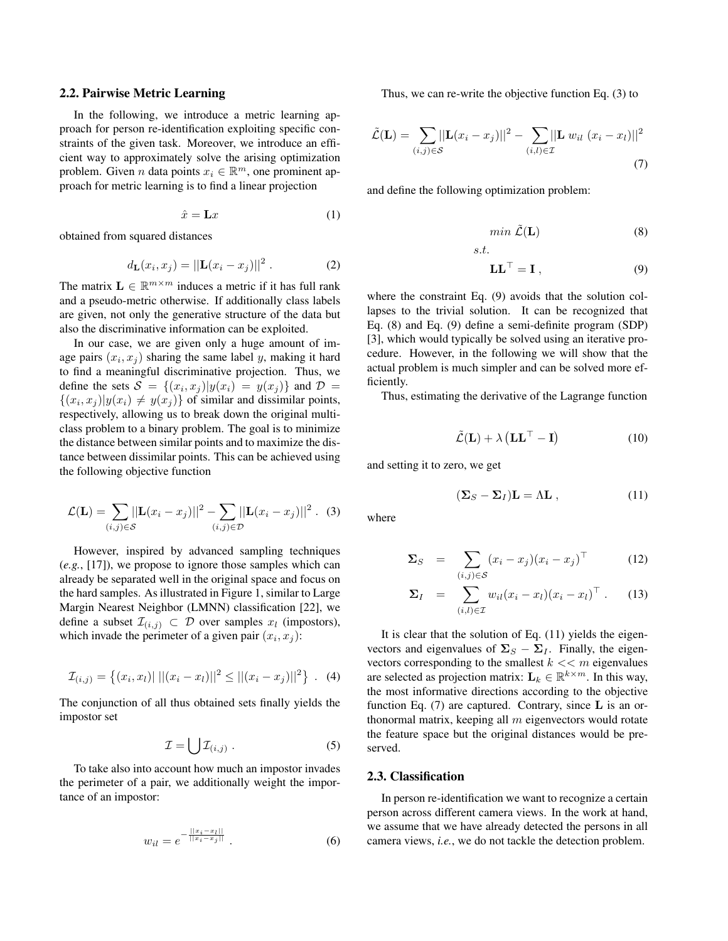#### 2.2. Pairwise Metric Learning

In the following, we introduce a metric learning approach for person re-identification exploiting specific constraints of the given task. Moreover, we introduce an efficient way to approximately solve the arising optimization problem. Given *n* data points  $x_i \in \mathbb{R}^m$ , one prominent approach for metric learning is to find a linear projection

$$
\hat{x} = \mathbf{L}x \tag{1}
$$

obtained from squared distances

$$
d_{\mathbf{L}}(x_i, x_j) = ||\mathbf{L}(x_i - x_j)||^2.
$$
 (2)

The matrix  $\mathbf{L} \in \mathbb{R}^{m \times m}$  induces a metric if it has full rank and a pseudo-metric otherwise. If additionally class labels are given, not only the generative structure of the data but also the discriminative information can be exploited.

In our case, we are given only a huge amount of image pairs  $(x_i, x_j)$  sharing the same label y, making it hard to find a meaningful discriminative projection. Thus, we define the sets  $S = \{(x_i, x_j) | y(x_i) = y(x_j) \}$  and  $D =$  $\{(x_i, x_j)|y(x_i) \neq y(x_j)\}\$  of similar and dissimilar points, respectively, allowing us to break down the original multiclass problem to a binary problem. The goal is to minimize the distance between similar points and to maximize the distance between dissimilar points. This can be achieved using the following objective function

$$
\mathcal{L}(\mathbf{L}) = \sum_{(i,j)\in S} ||\mathbf{L}(x_i - x_j)||^2 - \sum_{(i,j)\in \mathcal{D}} ||\mathbf{L}(x_i - x_j)||^2. \tag{3}
$$

However, inspired by advanced sampling techniques (*e.g.*, [17]), we propose to ignore those samples which can already be separated well in the original space and focus on the hard samples. As illustrated in Figure 1, similar to Large Margin Nearest Neighbor (LMNN) classification [22], we define a subset  $\mathcal{I}_{(i,j)} \subset \mathcal{D}$  over samples  $x_l$  (impostors), which invade the perimeter of a given pair  $(x_i, x_j)$ :

$$
\mathcal{I}_{(i,j)} = \{(x_i, x_l) | ||(x_i - x_l)||^2 \le ||(x_i - x_j)||^2 \} .
$$
 (4)

The conjunction of all thus obtained sets finally yields the impostor set

$$
\mathcal{I} = \bigcup \mathcal{I}_{(i,j)} . \tag{5}
$$

To take also into account how much an impostor invades the perimeter of a pair, we additionally weight the importance of an impostor:

$$
w_{il} = e^{-\frac{||x_i - x_l||}{||x_i - x_j||}}.
$$
 (6)

Thus, we can re-write the objective function Eq. (3) to

$$
\tilde{\mathcal{L}}(\mathbf{L}) = \sum_{(i,j)\in\mathcal{S}} ||\mathbf{L}(x_i - x_j)||^2 - \sum_{(i,l)\in\mathcal{I}} ||\mathbf{L} \ w_{il} \ (x_i - x_l)||^2
$$
\n(7)

and define the following optimization problem:

s.t.

$$
min \ \tilde{\mathcal{L}}(\mathbf{L}) \tag{8}
$$

$$
\mathbf{L}\mathbf{L}^{\top} = \mathbf{I} \,, \tag{9}
$$

where the constraint Eq. (9) avoids that the solution collapses to the trivial solution. It can be recognized that Eq. (8) and Eq. (9) define a semi-definite program (SDP) [3], which would typically be solved using an iterative procedure. However, in the following we will show that the actual problem is much simpler and can be solved more efficiently.

Thus, estimating the derivative of the Lagrange function

$$
\tilde{\mathcal{L}}(\mathbf{L}) + \lambda (\mathbf{L}\mathbf{L}^{\top} - \mathbf{I}) \tag{10}
$$

and setting it to zero, we get

$$
(\Sigma_S - \Sigma_I)L = \Lambda L , \qquad (11)
$$

where

$$
\Sigma_S = \sum_{(i,j)\in S} (x_i - x_j)(x_i - x_j)^\top \tag{12}
$$

$$
\Sigma_I = \sum_{(i,l)\in\mathcal{I}} w_{il}(x_i - x_l)(x_i - x_l)^\top. \tag{13}
$$

It is clear that the solution of Eq. (11) yields the eigenvectors and eigenvalues of  $\Sigma_S - \Sigma_I$ . Finally, the eigenvectors corresponding to the smallest  $k \ll m$  eigenvalues are selected as projection matrix:  $\mathbf{L}_k \in \mathbb{R}^{k \times m}$ . In this way, the most informative directions according to the objective function Eq.  $(7)$  are captured. Contrary, since L is an orthonormal matrix, keeping all  $m$  eigenvectors would rotate the feature space but the original distances would be preserved.

## 2.3. Classification

In person re-identification we want to recognize a certain person across different camera views. In the work at hand, we assume that we have already detected the persons in all camera views, *i.e.*, we do not tackle the detection problem.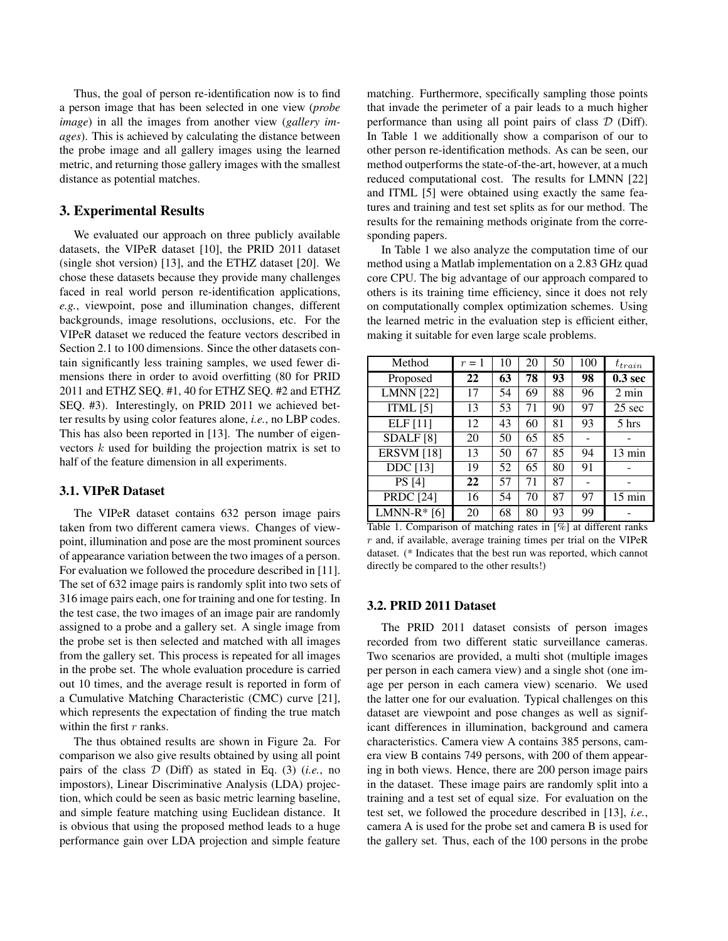Thus, the goal of person re-identification now is to find a person image that has been selected in one view (*probe image*) in all the images from another view (*gallery images*). This is achieved by calculating the distance between the probe image and all gallery images using the learned metric, and returning those gallery images with the smallest distance as potential matches.

## 3. Experimental Results

We evaluated our approach on three publicly available datasets, the VIPeR dataset [10], the PRID 2011 dataset (single shot version) [13], and the ETHZ dataset [20]. We chose these datasets because they provide many challenges faced in real world person re-identification applications, *e.g.*, viewpoint, pose and illumination changes, different backgrounds, image resolutions, occlusions, etc. For the VIPeR dataset we reduced the feature vectors described in Section 2.1 to 100 dimensions. Since the other datasets contain significantly less training samples, we used fewer dimensions there in order to avoid overfitting (80 for PRID 2011 and ETHZ SEQ. #1, 40 for ETHZ SEQ. #2 and ETHZ SEQ. #3). Interestingly, on PRID 2011 we achieved better results by using color features alone, *i.e.*, no LBP codes. This has also been reported in [13]. The number of eigenvectors k used for building the projection matrix is set to half of the feature dimension in all experiments.

# 3.1. VIPeR Dataset

The VIPeR dataset contains 632 person image pairs taken from two different camera views. Changes of viewpoint, illumination and pose are the most prominent sources of appearance variation between the two images of a person. For evaluation we followed the procedure described in [11]. The set of 632 image pairs is randomly split into two sets of 316 image pairs each, one for training and one for testing. In the test case, the two images of an image pair are randomly assigned to a probe and a gallery set. A single image from the probe set is then selected and matched with all images from the gallery set. This process is repeated for all images in the probe set. The whole evaluation procedure is carried out 10 times, and the average result is reported in form of a Cumulative Matching Characteristic (CMC) curve [21], which represents the expectation of finding the true match within the first  $r$  ranks.

The thus obtained results are shown in Figure 2a. For comparison we also give results obtained by using all point pairs of the class D (Diff) as stated in Eq. (3) (*i.e.*, no impostors), Linear Discriminative Analysis (LDA) projection, which could be seen as basic metric learning baseline, and simple feature matching using Euclidean distance. It is obvious that using the proposed method leads to a huge performance gain over LDA projection and simple feature

matching. Furthermore, specifically sampling those points that invade the perimeter of a pair leads to a much higher performance than using all point pairs of class  $D$  (Diff). In Table 1 we additionally show a comparison of our to other person re-identification methods. As can be seen, our method outperforms the state-of-the-art, however, at a much reduced computational cost. The results for LMNN [22] and ITML [5] were obtained using exactly the same features and training and test set splits as for our method. The results for the remaining methods originate from the corresponding papers.

In Table 1 we also analyze the computation time of our method using a Matlab implementation on a 2.83 GHz quad core CPU. The big advantage of our approach compared to others is its training time efficiency, since it does not rely on computationally complex optimization schemes. Using the learned metric in the evaluation step is efficient either, making it suitable for even large scale problems.

| Method                | $r=1$ | 10 | 20 | 50 | 100 | $t_{train}$        |
|-----------------------|-------|----|----|----|-----|--------------------|
| Proposed              | 22    | 63 | 78 | 93 | 98  | 0.3 <sub>sec</sub> |
| <b>LMNN</b> [22]      | 17    | 54 | 69 | 88 | 96  | $2 \text{ min}$    |
| ITML $[5]$            | 13    | 53 | 71 | 90 | 97  | $25$ sec           |
| ELF [11]              | 12    | 43 | 60 | 81 | 93  | 5 hrs              |
| SDALF[8]              | 20    | 50 | 65 | 85 |     |                    |
| <b>ERSVM</b> [18]     | 13    | 50 | 67 | 85 | 94  | $13 \text{ min}$   |
| $\overline{D}DC$ [13] | 19    | 52 | 65 | 80 | 91  |                    |
| PS [4]                | 22    | 57 | 71 | 87 |     |                    |
| <b>PRDC</b> [24]      | 16    | 54 | 70 | 87 | 97  | $15 \text{ min}$   |
| $LMNN-R*$ [6]         | 20    | 68 | 80 | 93 | 99  |                    |

Table 1. Comparison of matching rates in [%] at different ranks  $r$  and, if available, average training times per trial on the VIPeR dataset. (\* Indicates that the best run was reported, which cannot directly be compared to the other results!)

## 3.2. PRID 2011 Dataset

The PRID 2011 dataset consists of person images recorded from two different static surveillance cameras. Two scenarios are provided, a multi shot (multiple images per person in each camera view) and a single shot (one image per person in each camera view) scenario. We used the latter one for our evaluation. Typical challenges on this dataset are viewpoint and pose changes as well as significant differences in illumination, background and camera characteristics. Camera view A contains 385 persons, camera view B contains 749 persons, with 200 of them appearing in both views. Hence, there are 200 person image pairs in the dataset. These image pairs are randomly split into a training and a test set of equal size. For evaluation on the test set, we followed the procedure described in [13], *i.e.*, camera A is used for the probe set and camera B is used for the gallery set. Thus, each of the 100 persons in the probe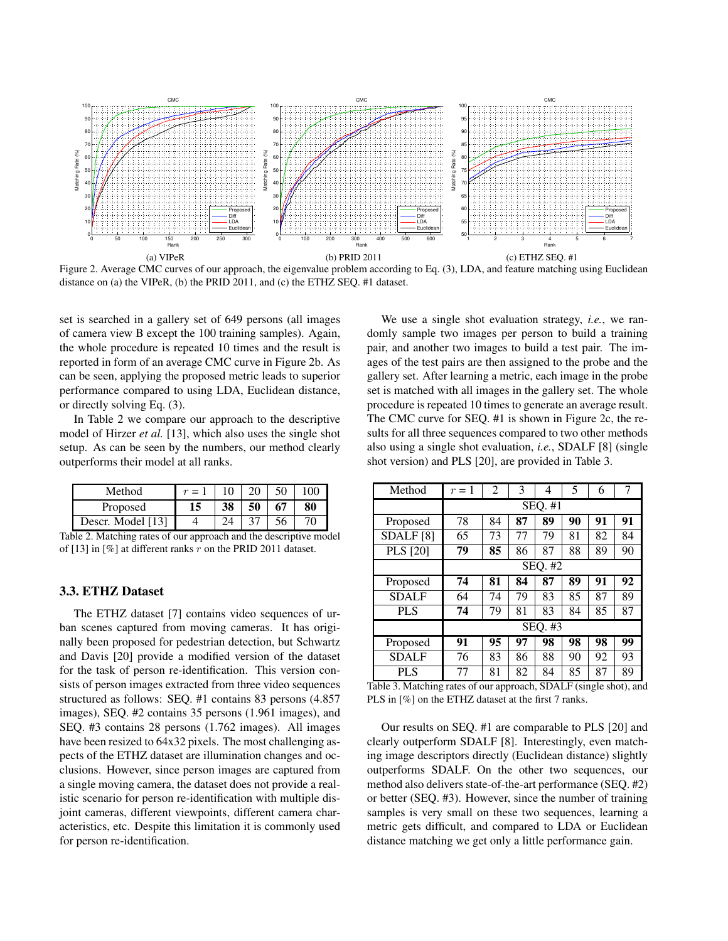

Figure 2. Average CMC curves of our approach, the eigenvalue problem according to Eq. (3), LDA, and feature matching using Euclidean distance on (a) the VIPeR, (b) the PRID 2011, and (c) the ETHZ SEQ. #1 dataset.

set is searched in a gallery set of 649 persons (all images of camera view B except the 100 training samples). Again, the whole procedure is repeated 10 times and the result is reported in form of an average CMC curve in Figure 2b. As can be seen, applying the proposed metric leads to superior performance compared to using LDA, Euclidean distance, or directly solving Eq. (3).

In Table 2 we compare our approach to the descriptive model of Hirzer *et al.* [13], which also uses the single shot setup. As can be seen by the numbers, our method clearly outperforms their model at all ranks.

| Method            | $\overline{\phantom{0}}$ | l0                   |    | 106 |
|-------------------|--------------------------|----------------------|----|-----|
| Proposed          | 15                       | 38                   | 67 | 80  |
| Descr. Model [13] |                          | $\gamma_{\varDelta}$ |    | 70  |

Table 2. Matching rates of our approach and the descriptive model of [13] in [%] at different ranks  $r$  on the PRID 2011 dataset.

# 3.3. ETHZ Dataset

The ETHZ dataset [7] contains video sequences of urban scenes captured from moving cameras. It has originally been proposed for pedestrian detection, but Schwartz and Davis [20] provide a modified version of the dataset for the task of person re-identification. This version consists of person images extracted from three video sequences structured as follows: SEQ. #1 contains 83 persons (4.857 images), SEQ. #2 contains 35 persons (1.961 images), and SEQ. #3 contains 28 persons (1.762 images). All images have been resized to  $64x32$  pixels. The most challenging aspects of the ETHZ dataset are illumination changes and occlusions. However, since person images are captured from a single moving camera, the dataset does not provide a realistic scenario for person re-identification with multiple disjoint cameras, different viewpoints, different camera characteristics, etc. Despite this limitation it is commonly used for person re-identification.

We use a single shot evaluation strategy, *i.e.*, we randomly sample two images per person to build a training pair, and another two images to build a test pair. The images of the test pairs are then assigned to the probe and the gallery set. After learning a metric, each image in the probe set is matched with all images in the gallery set. The whole procedure is repeated 10 times to generate an average result. The CMC curve for SEQ. #1 is shown in Figure 2c, the results for all three sequences compared to two other methods also using a single shot evaluation, *i.e.*, SDALF [8] (single shot version) and PLS [20], are provided in Table 3.

| Method          | $r=1$   | 2  | 3  | 4  | 5  | 6  | 7  |  |
|-----------------|---------|----|----|----|----|----|----|--|
|                 | SEO. #1 |    |    |    |    |    |    |  |
| Proposed        | 78      | 84 | 87 | 89 | 90 | 91 | 91 |  |
| SDALF[8]        | 65      | 73 | 77 | 79 | 81 | 82 | 84 |  |
| <b>PLS</b> [20] | 79      | 85 | 86 | 87 | 88 | 89 | 90 |  |
|                 | SEO. #2 |    |    |    |    |    |    |  |
| Proposed        | 74      | 81 | 84 | 87 | 89 | 91 | 92 |  |
| <b>SDALF</b>    | 64      | 74 | 79 | 83 | 85 | 87 | 89 |  |
| <b>PLS</b>      | 74      | 79 | 81 | 83 | 84 | 85 | 87 |  |
|                 | SEQ. #3 |    |    |    |    |    |    |  |
| Proposed        | 91      | 95 | 97 | 98 | 98 | 98 | 99 |  |
| <b>SDALF</b>    | 76      | 83 | 86 | 88 | 90 | 92 | 93 |  |
| <b>PLS</b>      | 77      | 81 | 82 | 84 | 85 | 87 | 89 |  |

Table 3. Matching rates of our approach, SDALF (single shot), and PLS in [%] on the ETHZ dataset at the first 7 ranks.

Our results on SEQ. #1 are comparable to PLS [20] and clearly outperform SDALF [8]. Interestingly, even matching image descriptors directly (Euclidean distance) slightly outperforms SDALF. On the other two sequences, our method also delivers state-of-the-art performance (SEQ. #2) or better (SEQ. #3). However, since the number of training samples is very small on these two sequences, learning a metric gets difficult, and compared to LDA or Euclidean distance matching we get only a little performance gain.